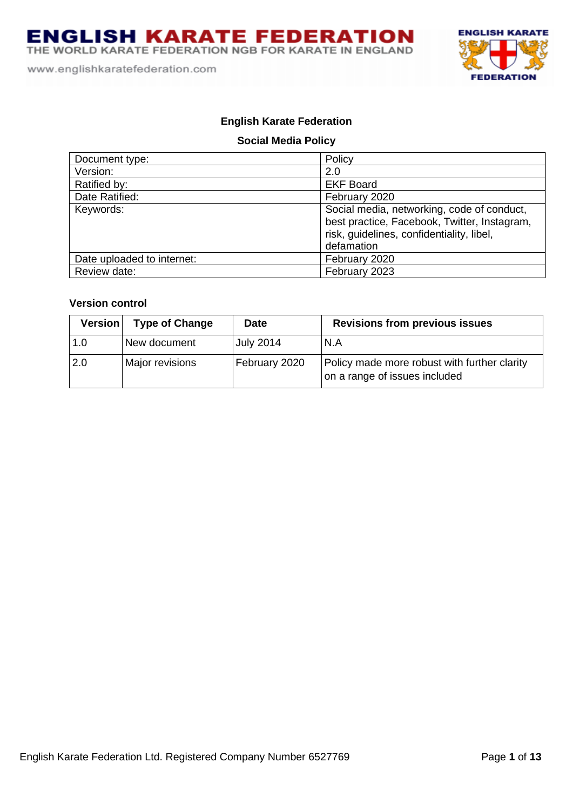

## **English Karate Federation**

## **Social Media Policy**

| Document type:             | Policy                                                                                                                                                |
|----------------------------|-------------------------------------------------------------------------------------------------------------------------------------------------------|
| Version:                   | 2.0                                                                                                                                                   |
| Ratified by:               | <b>EKF Board</b>                                                                                                                                      |
| Date Ratified:             | February 2020                                                                                                                                         |
| Keywords:                  | Social media, networking, code of conduct,<br>best practice, Facebook, Twitter, Instagram,<br>risk, guidelines, confidentiality, libel,<br>defamation |
| Date uploaded to internet: | February 2020                                                                                                                                         |
| Review date:               | February 2023                                                                                                                                         |

## **Version control**

| Version | <b>Type of Change</b> | <b>Date</b>   | <b>Revisions from previous issues</b>                                         |
|---------|-----------------------|---------------|-------------------------------------------------------------------------------|
| 1.0     | New document          | July 2014     | N.A                                                                           |
| 2.0     | Major revisions       | February 2020 | Policy made more robust with further clarity<br>on a range of issues included |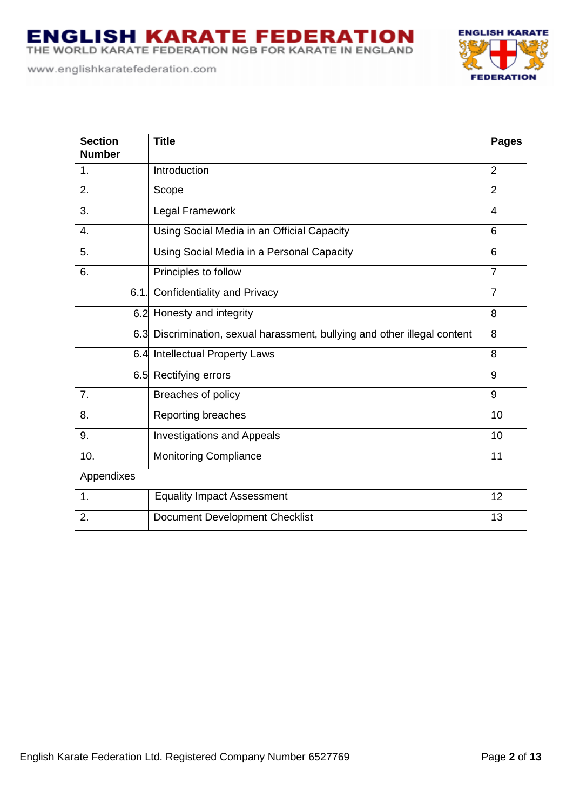www.englishkaratefederation.com



| <b>Section</b><br><b>Number</b> | <b>Title</b>                                                              | <b>Pages</b>   |
|---------------------------------|---------------------------------------------------------------------------|----------------|
| 1.                              | Introduction                                                              | $\overline{2}$ |
| 2.                              | Scope                                                                     | $\overline{2}$ |
| 3.                              | Legal Framework                                                           | $\overline{4}$ |
| 4.                              | Using Social Media in an Official Capacity                                | 6              |
| 5.                              | Using Social Media in a Personal Capacity                                 | 6              |
| 6.                              | Principles to follow                                                      | $\overline{7}$ |
| 6.1.                            | <b>Confidentiality and Privacy</b>                                        | $\overline{7}$ |
| 6.2                             | Honesty and integrity                                                     | 8              |
|                                 | 6.3 Discrimination, sexual harassment, bullying and other illegal content | 8              |
|                                 | 6.4 Intellectual Property Laws                                            | 8              |
|                                 | 6.5 Rectifying errors                                                     | 9              |
| $\overline{7}$ .                | Breaches of policy                                                        | 9              |
| 8.                              | Reporting breaches                                                        | 10             |
| 9.                              | <b>Investigations and Appeals</b>                                         | 10             |
| 10.                             | <b>Monitoring Compliance</b>                                              | 11             |
| Appendixes                      |                                                                           |                |
| 1.                              | <b>Equality Impact Assessment</b>                                         | 12             |
| 2.                              | Document Development Checklist                                            | 13             |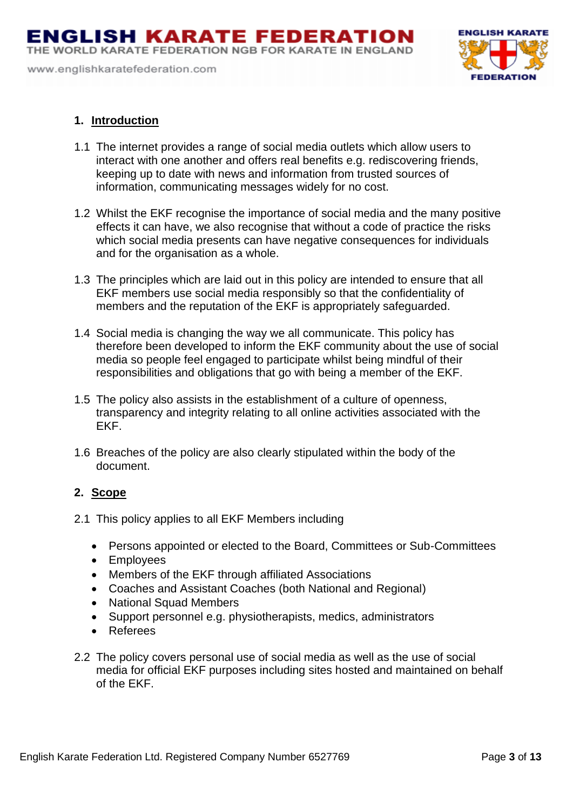THE WORLD KARATE FEDERATION NGB FOR KARATE IN ENGLAND



## **1. Introduction**

- 1.1 The internet provides a range of social media outlets which allow users to interact with one another and offers real benefits e.g. rediscovering friends, keeping up to date with news and information from trusted sources of information, communicating messages widely for no cost.
- 1.2 Whilst the EKF recognise the importance of social media and the many positive effects it can have, we also recognise that without a code of practice the risks which social media presents can have negative consequences for individuals and for the organisation as a whole.
- 1.3 The principles which are laid out in this policy are intended to ensure that all EKF members use social media responsibly so that the confidentiality of members and the reputation of the EKF is appropriately safeguarded.
- 1.4 Social media is changing the way we all communicate. This policy has therefore been developed to inform the EKF community about the use of social media so people feel engaged to participate whilst being mindful of their responsibilities and obligations that go with being a member of the EKF.
- 1.5 The policy also assists in the establishment of a culture of openness, transparency and integrity relating to all online activities associated with the EKF.
- 1.6 Breaches of the policy are also clearly stipulated within the body of the document.

#### **2. Scope**

- 2.1 This policy applies to all EKF Members including
	- Persons appointed or elected to the Board, Committees or Sub-Committees
	- Employees
	- Members of the EKF through affiliated Associations
	- Coaches and Assistant Coaches (both National and Regional)
	- National Squad Members
	- Support personnel e.g. physiotherapists, medics, administrators
	- Referees
- 2.2 The policy covers personal use of social media as well as the use of social media for official EKF purposes including sites hosted and maintained on behalf of the EKF.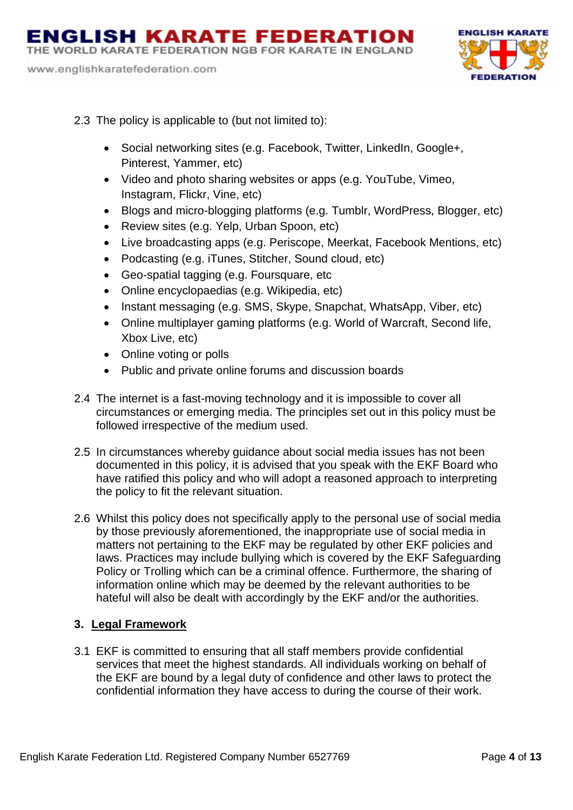THE WORLD KARATE FEDERATION NGB FOR KARATE IN ENGLAND

www.englishkaratefederation.com



- 2.3 The policy is applicable to (but not limited to):
	- Social networking sites (e.g. Facebook, Twitter, LinkedIn, Google+, Pinterest, Yammer, etc)
	- Video and photo sharing websites or apps (e.g. YouTube, Vimeo, Instagram, Flickr, Vine, etc)
	- Blogs and micro-blogging platforms (e.g. Tumblr, WordPress, Blogger, etc)
	- Review sites (e.g. Yelp, Urban Spoon, etc)
	- Live broadcasting apps (e.g. Periscope, Meerkat, Facebook Mentions, etc)
	- Podcasting (e.g. iTunes, Stitcher, Sound cloud, etc)
	- Geo-spatial tagging (e.g. Foursquare, etc
	- Online encyclopaedias (e.g. Wikipedia, etc)
	- Instant messaging (e.g. SMS, Skype, Snapchat, WhatsApp, Viber, etc)
	- Online multiplayer gaming platforms (e.g. World of Warcraft, Second life, Xbox Live, etc)
	- Online voting or polls
	- Public and private online forums and discussion boards
- 2.4 The internet is a fast-moving technology and it is impossible to cover all circumstances or emerging media. The principles set out in this policy must be followed irrespective of the medium used.
- 2.5 In circumstances whereby guidance about social media issues has not been documented in this policy, it is advised that you speak with the EKF Board who have ratified this policy and who will adopt a reasoned approach to interpreting the policy to fit the relevant situation.
- 2.6 Whilst this policy does not specifically apply to the personal use of social media by those previously aforementioned, the inappropriate use of social media in matters not pertaining to the EKF may be regulated by other EKF policies and laws. Practices may include bullying which is covered by the EKF Safeguarding Policy or Trolling which can be a criminal offence. Furthermore, the sharing of information online which may be deemed by the relevant authorities to be hateful will also be dealt with accordingly by the EKF and/or the authorities.

## **3. Legal Framework**

3.1 EKF is committed to ensuring that all staff members provide confidential services that meet the highest standards. All individuals working on behalf of the EKF are bound by a legal duty of confidence and other laws to protect the confidential information they have access to during the course of their work.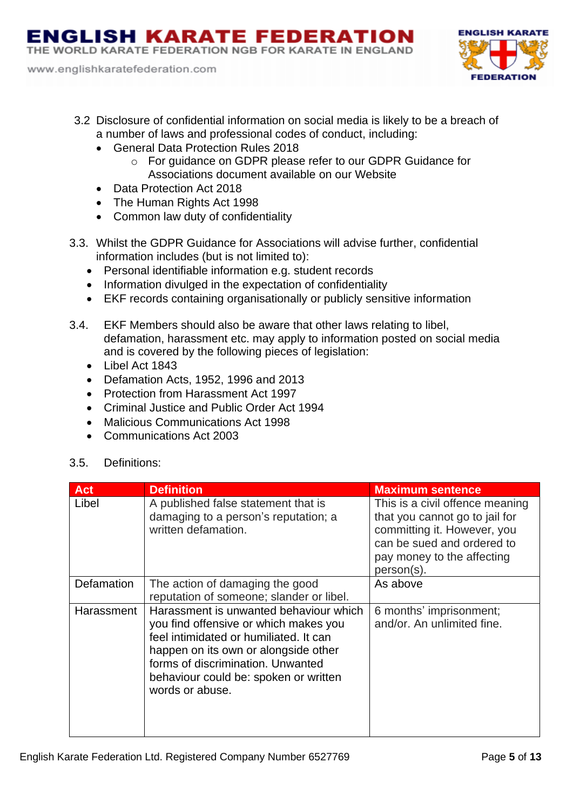# **ENGLISH KARATE FEDERATION**

THE WORLD KARATE FEDERATION NGB FOR KARATE IN ENGLAND

www.englishkaratefederation.com



- 3.2 Disclosure of confidential information on social media is likely to be a breach of a number of laws and professional codes of conduct, including:
	- General Data Protection Rules 2018
		- o For guidance on GDPR please refer to our GDPR Guidance for Associations document available on our Website
	- Data Protection Act 2018
	- The Human Rights Act 1998
	- Common law duty of confidentiality
- 3.3. Whilst the GDPR Guidance for Associations will advise further, confidential information includes (but is not limited to):
	- Personal identifiable information e.g. student records
	- Information divulged in the expectation of confidentiality
	- EKF records containing organisationally or publicly sensitive information
- 3.4. EKF Members should also be aware that other laws relating to libel, defamation, harassment etc. may apply to information posted on social media and is covered by the following pieces of legislation:
	- Libel Act 1843
	- Defamation Acts, 1952, 1996 and 2013
	- Protection from Harassment Act 1997
	- Criminal Justice and Public Order Act 1994
	- Malicious Communications Act 1998
	- Communications Act 2003

## 3.5. Definitions:

| Act        | <b>Definition</b>                                                                                                                                                                                                                                                  | <b>Maximum sentence</b>                                                                                                                                                    |
|------------|--------------------------------------------------------------------------------------------------------------------------------------------------------------------------------------------------------------------------------------------------------------------|----------------------------------------------------------------------------------------------------------------------------------------------------------------------------|
| Libel      | A published false statement that is<br>damaging to a person's reputation; a<br>written defamation.                                                                                                                                                                 | This is a civil offence meaning<br>that you cannot go to jail for<br>committing it. However, you<br>can be sued and ordered to<br>pay money to the affecting<br>person(s). |
| Defamation | The action of damaging the good<br>reputation of someone; slander or libel.                                                                                                                                                                                        | As above                                                                                                                                                                   |
| Harassment | Harassment is unwanted behaviour which<br>you find offensive or which makes you<br>feel intimidated or humiliated. It can<br>happen on its own or alongside other<br>forms of discrimination. Unwanted<br>behaviour could be: spoken or written<br>words or abuse. | 6 months' imprisonment;<br>and/or. An unlimited fine.                                                                                                                      |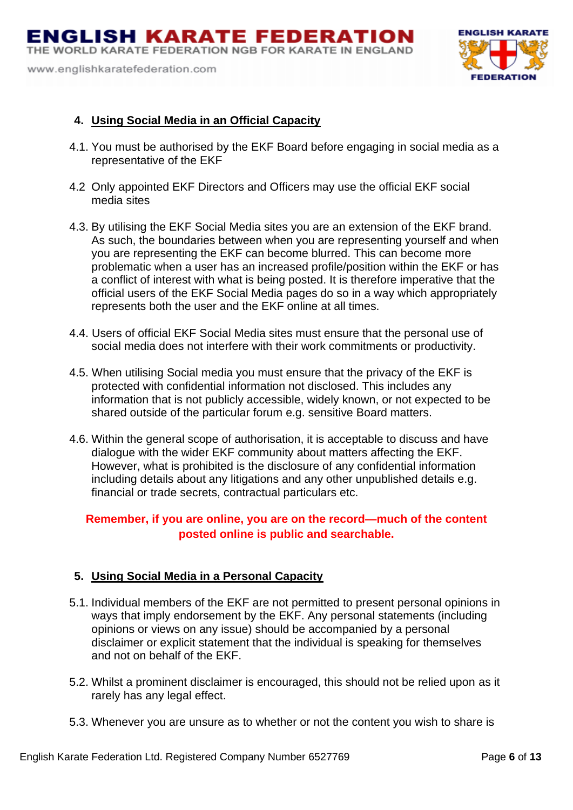THE WORLD KARATE FEDERATION NGB FOR KARATE IN ENGLAND

www.englishkaratefederation.com



## **4. Using Social Media in an Official Capacity**

- 4.1. You must be authorised by the EKF Board before engaging in social media as a representative of the EKF
- 4.2 Only appointed EKF Directors and Officers may use the official EKF social media sites
- 4.3. By utilising the EKF Social Media sites you are an extension of the EKF brand. As such, the boundaries between when you are representing yourself and when you are representing the EKF can become blurred. This can become more problematic when a user has an increased profile/position within the EKF or has a conflict of interest with what is being posted. It is therefore imperative that the official users of the EKF Social Media pages do so in a way which appropriately represents both the user and the EKF online at all times.
- 4.4. Users of official EKF Social Media sites must ensure that the personal use of social media does not interfere with their work commitments or productivity.
- 4.5. When utilising Social media you must ensure that the privacy of the EKF is protected with confidential information not disclosed. This includes any information that is not publicly accessible, widely known, or not expected to be shared outside of the particular forum e.g. sensitive Board matters.
- 4.6. Within the general scope of authorisation, it is acceptable to discuss and have dialogue with the wider EKF community about matters affecting the EKF. However, what is prohibited is the disclosure of any confidential information including details about any litigations and any other unpublished details e.g. financial or trade secrets, contractual particulars etc.

# **Remember, if you are online, you are on the record—much of the content posted online is public and searchable.**

## **5. Using Social Media in a Personal Capacity**

- 5.1. Individual members of the EKF are not permitted to present personal opinions in ways that imply endorsement by the EKF. Any personal statements (including opinions or views on any issue) should be accompanied by a personal disclaimer or explicit statement that the individual is speaking for themselves and not on behalf of the EKF.
- 5.2. Whilst a prominent disclaimer is encouraged, this should not be relied upon as it rarely has any legal effect.
- 5.3. Whenever you are unsure as to whether or not the content you wish to share is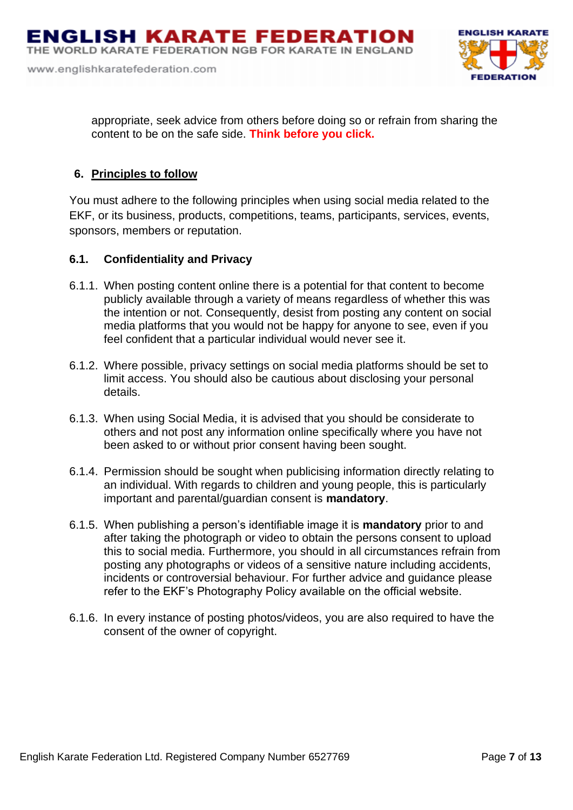

appropriate, seek advice from others before doing so or refrain from sharing the content to be on the safe side. **Think before you click.**

## **6. Principles to follow**

You must adhere to the following principles when using social media related to the EKF, or its business, products, competitions, teams, participants, services, events, sponsors, members or reputation.

## **6.1. Confidentiality and Privacy**

- 6.1.1. When posting content online there is a potential for that content to become publicly available through a variety of means regardless of whether this was the intention or not. Consequently, desist from posting any content on social media platforms that you would not be happy for anyone to see, even if you feel confident that a particular individual would never see it.
- 6.1.2. Where possible, privacy settings on social media platforms should be set to limit access. You should also be cautious about disclosing your personal details.
- 6.1.3. When using Social Media, it is advised that you should be considerate to others and not post any information online specifically where you have not been asked to or without prior consent having been sought.
- 6.1.4. Permission should be sought when publicising information directly relating to an individual. With regards to children and young people, this is particularly important and parental/guardian consent is **mandatory**.
- 6.1.5. When publishing a person's identifiable image it is **mandatory** prior to and after taking the photograph or video to obtain the persons consent to upload this to social media. Furthermore, you should in all circumstances refrain from posting any photographs or videos of a sensitive nature including accidents, incidents or controversial behaviour. For further advice and guidance please refer to the EKF's Photography Policy available on the official website.
- 6.1.6. In every instance of posting photos/videos, you are also required to have the consent of the owner of copyright.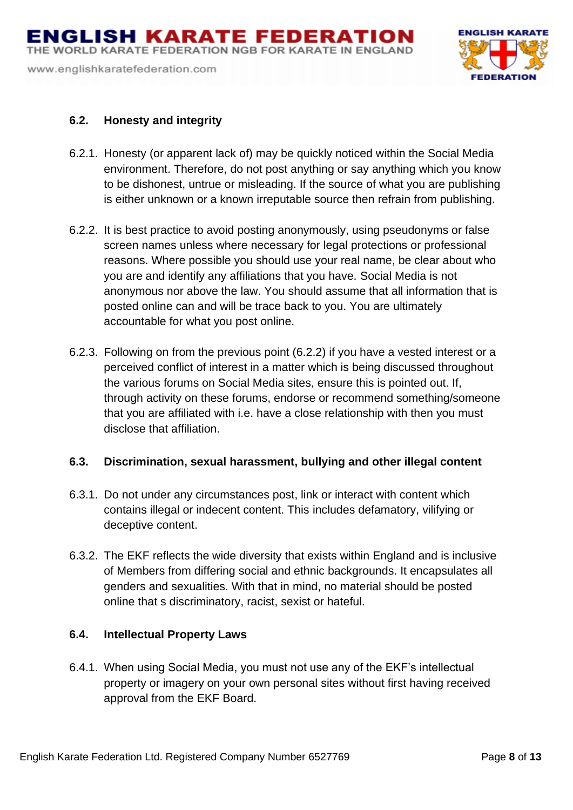

# **6.2. Honesty and integrity**

- 6.2.1. Honesty (or apparent lack of) may be quickly noticed within the Social Media environment. Therefore, do not post anything or say anything which you know to be dishonest, untrue or misleading. If the source of what you are publishing is either unknown or a known irreputable source then refrain from publishing.
- 6.2.2. It is best practice to avoid posting anonymously, using pseudonyms or false screen names unless where necessary for legal protections or professional reasons. Where possible you should use your real name, be clear about who you are and identify any affiliations that you have. Social Media is not anonymous nor above the law. You should assume that all information that is posted online can and will be trace back to you. You are ultimately accountable for what you post online.
- 6.2.3. Following on from the previous point (6.2.2) if you have a vested interest or a perceived conflict of interest in a matter which is being discussed throughout the various forums on Social Media sites, ensure this is pointed out. If, through activity on these forums, endorse or recommend something/someone that you are affiliated with i.e. have a close relationship with then you must disclose that affiliation.

## **6.3. Discrimination, sexual harassment, bullying and other illegal content**

- 6.3.1. Do not under any circumstances post, link or interact with content which contains illegal or indecent content. This includes defamatory, vilifying or deceptive content.
- 6.3.2. The EKF reflects the wide diversity that exists within England and is inclusive of Members from differing social and ethnic backgrounds. It encapsulates all genders and sexualities. With that in mind, no material should be posted online that s discriminatory, racist, sexist or hateful.

## **6.4. Intellectual Property Laws**

6.4.1. When using Social Media, you must not use any of the EKF's intellectual property or imagery on your own personal sites without first having received approval from the EKF Board.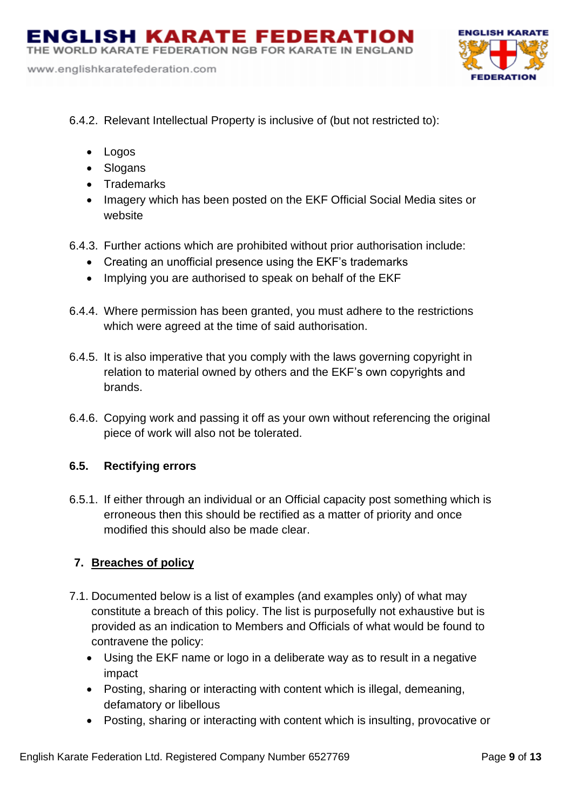

- 6.4.2. Relevant Intellectual Property is inclusive of (but not restricted to):
	- Logos
	- Slogans
	- Trademarks
	- Imagery which has been posted on the EKF Official Social Media sites or website
- 6.4.3. Further actions which are prohibited without prior authorisation include:
	- Creating an unofficial presence using the EKF's trademarks
	- Implying you are authorised to speak on behalf of the EKF
- 6.4.4. Where permission has been granted, you must adhere to the restrictions which were agreed at the time of said authorisation.
- 6.4.5. It is also imperative that you comply with the laws governing copyright in relation to material owned by others and the EKF's own copyrights and brands.
- 6.4.6. Copying work and passing it off as your own without referencing the original piece of work will also not be tolerated.

## **6.5. Rectifying errors**

6.5.1. If either through an individual or an Official capacity post something which is erroneous then this should be rectified as a matter of priority and once modified this should also be made clear.

## **7. Breaches of policy**

- 7.1. Documented below is a list of examples (and examples only) of what may constitute a breach of this policy. The list is purposefully not exhaustive but is provided as an indication to Members and Officials of what would be found to contravene the policy:
	- Using the EKF name or logo in a deliberate way as to result in a negative impact
	- Posting, sharing or interacting with content which is illegal, demeaning, defamatory or libellous
	- Posting, sharing or interacting with content which is insulting, provocative or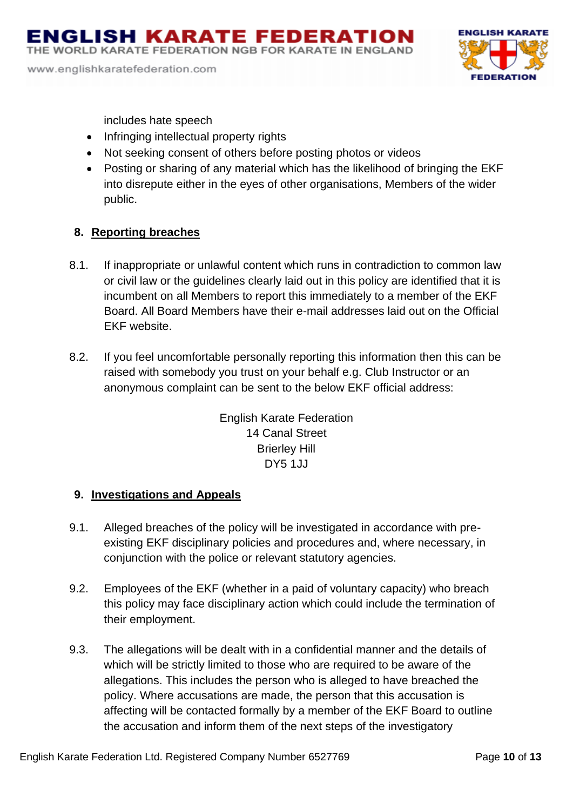www.englishkaratefederation.com



includes hate speech

- Infringing intellectual property rights
- Not seeking consent of others before posting photos or videos
- Posting or sharing of any material which has the likelihood of bringing the EKF into disrepute either in the eyes of other organisations, Members of the wider public.

#### **8. Reporting breaches**

- 8.1. If inappropriate or unlawful content which runs in contradiction to common law or civil law or the guidelines clearly laid out in this policy are identified that it is incumbent on all Members to report this immediately to a member of the EKF Board. All Board Members have their e-mail addresses laid out on the Official EKF website.
- 8.2. If you feel uncomfortable personally reporting this information then this can be raised with somebody you trust on your behalf e.g. Club Instructor or an anonymous complaint can be sent to the below EKF official address:

English Karate Federation 14 Canal Street Brierley Hill DY5 1JJ

#### **9. Investigations and Appeals**

- 9.1. Alleged breaches of the policy will be investigated in accordance with preexisting EKF disciplinary policies and procedures and, where necessary, in conjunction with the police or relevant statutory agencies.
- 9.2. Employees of the EKF (whether in a paid of voluntary capacity) who breach this policy may face disciplinary action which could include the termination of their employment.
- 9.3. The allegations will be dealt with in a confidential manner and the details of which will be strictly limited to those who are required to be aware of the allegations. This includes the person who is alleged to have breached the policy. Where accusations are made, the person that this accusation is affecting will be contacted formally by a member of the EKF Board to outline the accusation and inform them of the next steps of the investigatory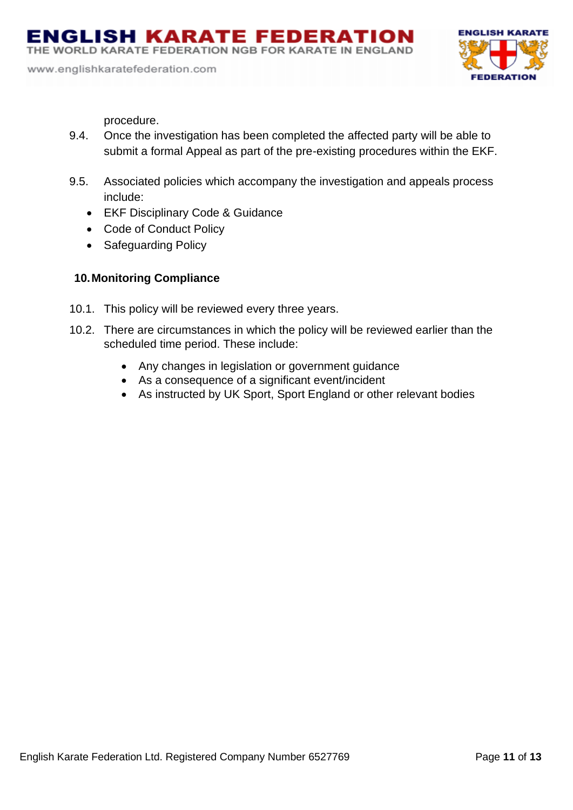www.englishkaratefederation.com



procedure.

- 9.4. Once the investigation has been completed the affected party will be able to submit a formal Appeal as part of the pre-existing procedures within the EKF.
- 9.5. Associated policies which accompany the investigation and appeals process include:
	- EKF Disciplinary Code & Guidance
	- Code of Conduct Policy
	- Safeguarding Policy

# **10.Monitoring Compliance**

- 10.1. This policy will be reviewed every three years.
- 10.2. There are circumstances in which the policy will be reviewed earlier than the scheduled time period. These include:
	- Any changes in legislation or government guidance
	- As a consequence of a significant event/incident
	- As instructed by UK Sport, Sport England or other relevant bodies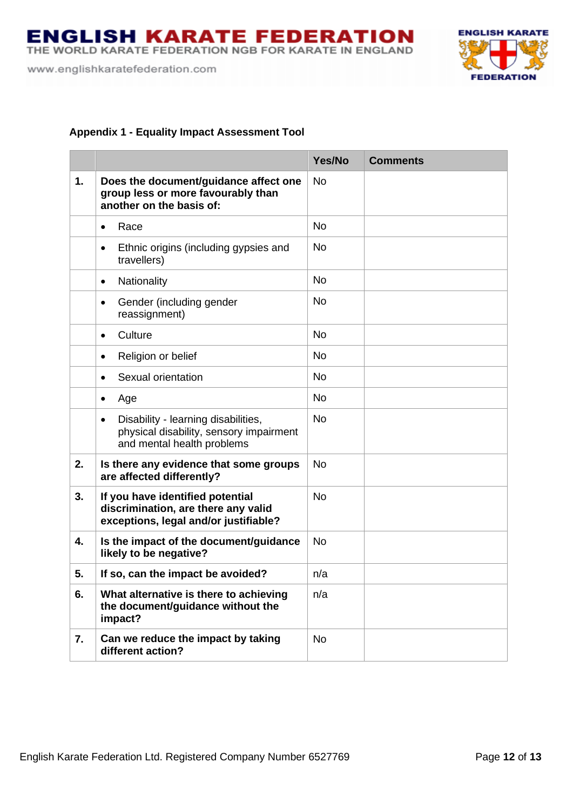

## **Appendix 1 - Equality Impact Assessment Tool**

|    |                                                                                                                           | Yes/No    | <b>Comments</b> |
|----|---------------------------------------------------------------------------------------------------------------------------|-----------|-----------------|
| 1. | Does the document/guidance affect one<br>group less or more favourably than<br>another on the basis of:                   | <b>No</b> |                 |
|    | Race<br>$\bullet$                                                                                                         | <b>No</b> |                 |
|    | Ethnic origins (including gypsies and<br>$\bullet$<br>travellers)                                                         | <b>No</b> |                 |
|    | Nationality<br>$\bullet$                                                                                                  | <b>No</b> |                 |
|    | Gender (including gender<br>$\bullet$<br>reassignment)                                                                    | <b>No</b> |                 |
|    | Culture<br>$\bullet$                                                                                                      | <b>No</b> |                 |
|    | Religion or belief<br>$\bullet$                                                                                           | No        |                 |
|    | Sexual orientation<br>$\bullet$                                                                                           | <b>No</b> |                 |
|    | Age<br>$\bullet$                                                                                                          | <b>No</b> |                 |
|    | Disability - learning disabilities,<br>$\bullet$<br>physical disability, sensory impairment<br>and mental health problems | <b>No</b> |                 |
| 2. | Is there any evidence that some groups<br>are affected differently?                                                       | <b>No</b> |                 |
| 3. | If you have identified potential<br>discrimination, are there any valid<br>exceptions, legal and/or justifiable?          | <b>No</b> |                 |
| 4. | Is the impact of the document/guidance<br>likely to be negative?                                                          | <b>No</b> |                 |
| 5. | If so, can the impact be avoided?                                                                                         | n/a       |                 |
| 6. | What alternative is there to achieving<br>the document/guidance without the<br>impact?                                    | n/a       |                 |
| 7. | Can we reduce the impact by taking<br>different action?                                                                   | <b>No</b> |                 |